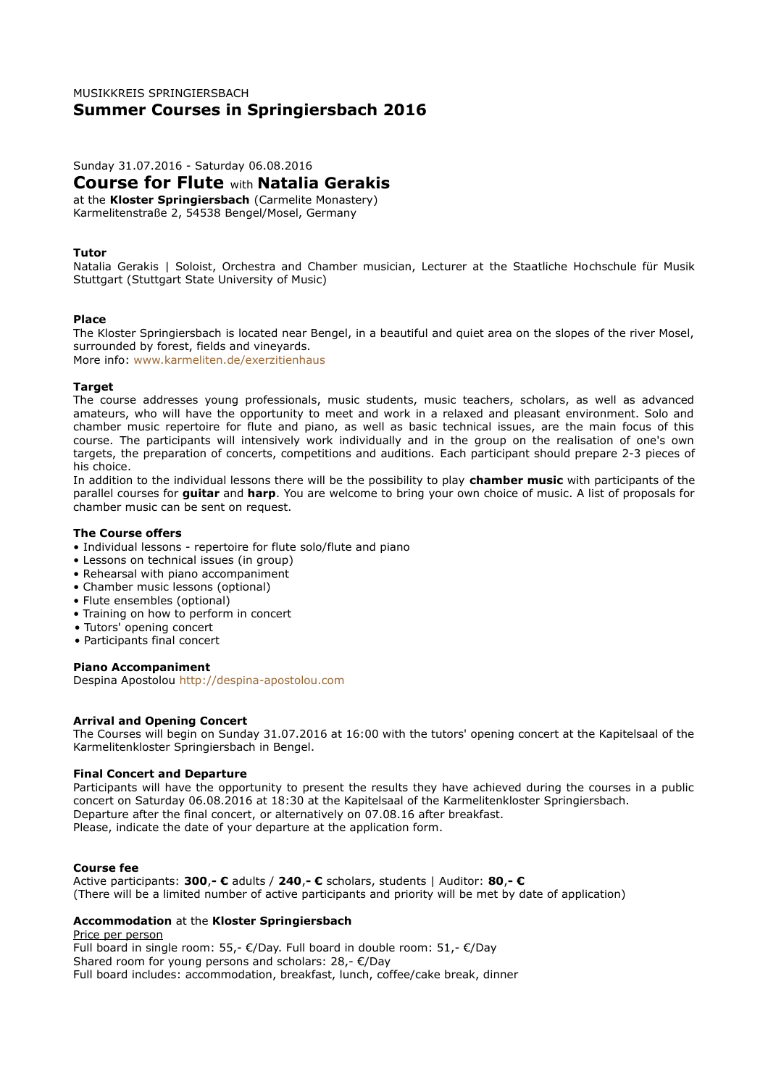# MUSIKKREIS SPRINGIERSBACH **Summer Courses in Springiersbach 2016**

Sunday 31.07.2016 - Saturday 06.08.2016

**Course for Flute** with **Natalia Gerakis**

at the **Kloster Springiersbach** (Carmelite Monastery) Karmelitenstraße 2, 54538 Bengel/Mosel, Germany

### **Tutor**

Natalia Gerakis | Soloist, Orchestra and Chamber musician, Lecturer at the Staatliche Hochschule für Musik Stuttgart (Stuttgart State University of Music)

### **Place**

The Kloster Springiersbach is located near Bengel, in a beautiful and quiet area on the slopes of the river Mosel, surrounded by forest, fields and vineyards. More info: www.karmeliten.de/exerzitienhaus

### **Target**

The course addresses young professionals, music students, music teachers, scholars, as well as advanced amateurs, who will have the opportunity to meet and work in a relaxed and pleasant environment. Solo and chamber music repertoire for flute and piano, as well as basic technical issues, are the main focus of this course. The participants will intensively work individually and in the group on the realisation of one's own targets, the preparation of concerts, competitions and auditions. Each participant should prepare 2-3 pieces of his choice.

In addition to the individual lessons there will be the possibility to play **chamber music** with participants of the parallel courses for **guitar** and **harp**. You are welcome to bring your own choice of music. A list of proposals for chamber music can be sent on request.

# **The Course offers**

- Individual lessons repertoire for flute solo/flute and piano
- Lessons on technical issues (in group)
- Rehearsal with piano accompaniment
- Chamber music lessons (optional)
- Flute ensembles (optional)
- Training on how to perform in concert
- Tutors' opening concert
- Participants final concert

#### **Piano Accompaniment**

Despina Apostolou [http://despina-apostolou.com](http://despina-apostolou.com/)

# **Arrival and Opening Concert**

The Courses will begin on Sunday 31.07.2016 at 16:00 with the tutors' opening concert at the Kapitelsaal of the Karmelitenkloster Springiersbach in Bengel.

#### **Final Concert and Departure**

Participants will have the opportunity to present the results they have achieved during the courses in a public concert on Saturday 06.08.2016 at 18:30 at the Kapitelsaal of the Karmelitenkloster Springiersbach. Departure after the final concert, or alternatively on 07.08.16 after breakfast. Please, indicate the date of your departure at the application form.

#### **Course fee**

Active participants: **300**,**- €** adults / **240**,**- €** scholars, students | Auditor: **80**,**- €** (There will be a limited number of active participants and priority will be met by date of application)

# **Accommodation** at the **Kloster Springiersbach**

Price per person Full board in single room: 55,- €/Day. Full board in double room: 51,- €/Day Shared room for young persons and scholars: 28,- €/Day Full board includes: accommodation, breakfast, lunch, coffee/cake break, dinner